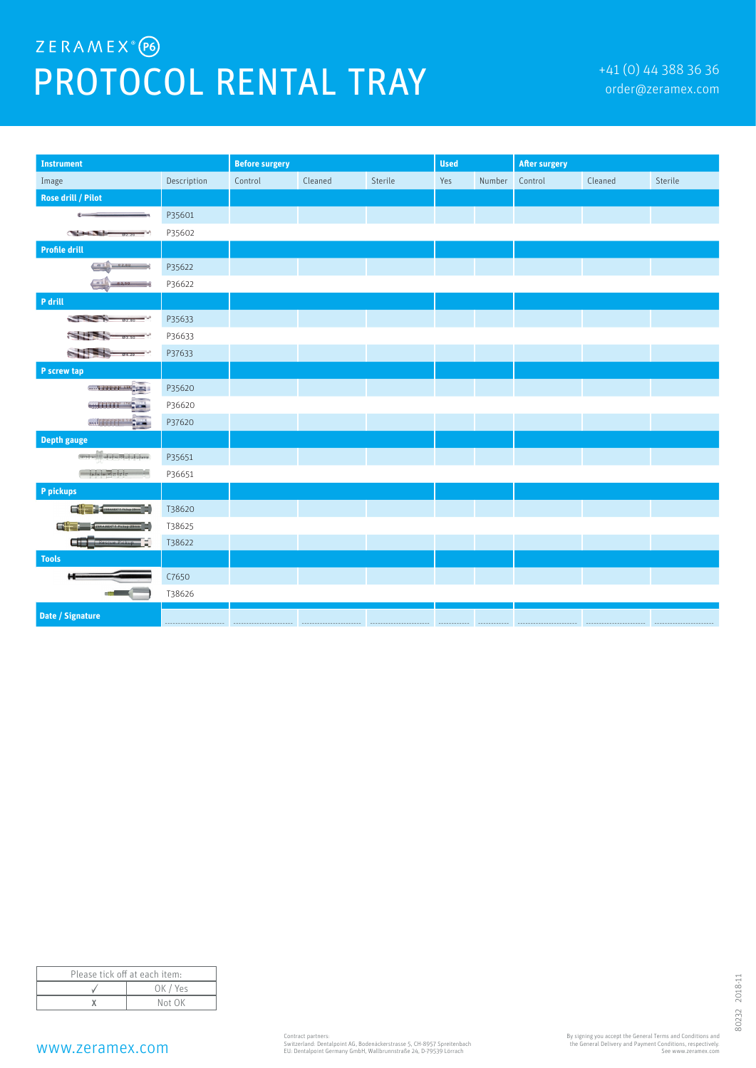## ZERAMEX<sup>®</sup>(P6) PROTOCOL RENTAL TRAY **Fraction** and the state of the conder@zeramex.com

| <b>Instrument</b>                                                                                                                                                                                                                                                                                                   |             | <b>Before surgery</b> |         |         | <b>Used</b> |        | <b>After surgery</b> |         |         |
|---------------------------------------------------------------------------------------------------------------------------------------------------------------------------------------------------------------------------------------------------------------------------------------------------------------------|-------------|-----------------------|---------|---------|-------------|--------|----------------------|---------|---------|
| Image                                                                                                                                                                                                                                                                                                               | Description | Control               | Cleaned | Sterile | Yes         | Number | Control              | Cleaned | Sterile |
| <b>Rose drill / Pilot</b>                                                                                                                                                                                                                                                                                           |             |                       |         |         |             |        |                      |         |         |
|                                                                                                                                                                                                                                                                                                                     | P35601      |                       |         |         |             |        |                      |         |         |
| <b>Change County</b><br>02.20                                                                                                                                                                                                                                                                                       | P35602      |                       |         |         |             |        |                      |         |         |
| <b>Profile drill</b>                                                                                                                                                                                                                                                                                                |             |                       |         |         |             |        |                      |         |         |
| <b>Carl</b><br>0.2,80                                                                                                                                                                                                                                                                                               | P35622      |                       |         |         |             |        |                      |         |         |
| $\sim$<br>03,50                                                                                                                                                                                                                                                                                                     | P36622      |                       |         |         |             |        |                      |         |         |
| P drill                                                                                                                                                                                                                                                                                                             |             |                       |         |         |             |        |                      |         |         |
| $\frac{1}{2}$ $\frac{1}{2}$ $\frac{1}{2}$ $\frac{1}{2}$ $\frac{1}{2}$ $\frac{1}{2}$ $\frac{1}{2}$ $\frac{1}{2}$ $\frac{1}{2}$ $\frac{1}{2}$ $\frac{1}{2}$ $\frac{1}{2}$ $\frac{1}{2}$ $\frac{1}{2}$ $\frac{1}{2}$ $\frac{1}{2}$ $\frac{1}{2}$ $\frac{1}{2}$ $\frac{1}{2}$ $\frac{1}{2}$ $\frac{1}{2}$ $\frac{1}{2}$ | P35633      |                       |         |         |             |        |                      |         |         |
| $03.50 - 7$                                                                                                                                                                                                                                                                                                         | P36633      |                       |         |         |             |        |                      |         |         |
| 04.20                                                                                                                                                                                                                                                                                                               | P37633      |                       |         |         |             |        |                      |         |         |
| P screw tap                                                                                                                                                                                                                                                                                                         |             |                       |         |         |             |        |                      |         |         |
| and the company                                                                                                                                                                                                                                                                                                     | P35620      |                       |         |         |             |        |                      |         |         |
| will if "C-                                                                                                                                                                                                                                                                                                         | P36620      |                       |         |         |             |        |                      |         |         |
| $-1$                                                                                                                                                                                                                                                                                                                | P37620      |                       |         |         |             |        |                      |         |         |
| <b>Depth gauge</b>                                                                                                                                                                                                                                                                                                  |             |                       |         |         |             |        |                      |         |         |
|                                                                                                                                                                                                                                                                                                                     | P35651      |                       |         |         |             |        |                      |         |         |
| $ z  =  z  =  z  =$                                                                                                                                                                                                                                                                                                 | P36651      |                       |         |         |             |        |                      |         |         |
| P pickups                                                                                                                                                                                                                                                                                                           |             |                       |         |         |             |        |                      |         |         |
| <b>Experience of Association Contract Property Contract Contract Contract Contract Contract Contract Contract Contract Contract Contract Contract Contract Contract Contract Contract Contract Contract Contract Contract Contra</b>                                                                                | T38620      |                       |         |         |             |        |                      |         |         |
| di L<br>ZERAMEX <sup>8</sup> T. Pickup 25mm                                                                                                                                                                                                                                                                         | T38625      |                       |         |         |             |        |                      |         |         |
| Œ<br>Pickup <b>C</b>                                                                                                                                                                                                                                                                                                | T38622      |                       |         |         |             |        |                      |         |         |
| <b>Tools</b>                                                                                                                                                                                                                                                                                                        |             |                       |         |         |             |        |                      |         |         |
|                                                                                                                                                                                                                                                                                                                     | C7650       |                       |         |         |             |        |                      |         |         |
|                                                                                                                                                                                                                                                                                                                     | T38626      |                       |         |         |             |        |                      |         |         |
| Date / Signature                                                                                                                                                                                                                                                                                                    |             |                       |         |         |             |        |                      |         |         |

| Please tick off at each item: |          |  |  |  |
|-------------------------------|----------|--|--|--|
|                               | OK / Yes |  |  |  |
|                               | Not OK   |  |  |  |

## www.zeramex.com

Contract partners: Switzerland: Dentalpoint AG, Bodenäckerstrasse 5, CH-8957 Spreitenbach EU: Dentalpoint Germany GmbH, Wallbrunnstraße 24, D-79539 Lörrach